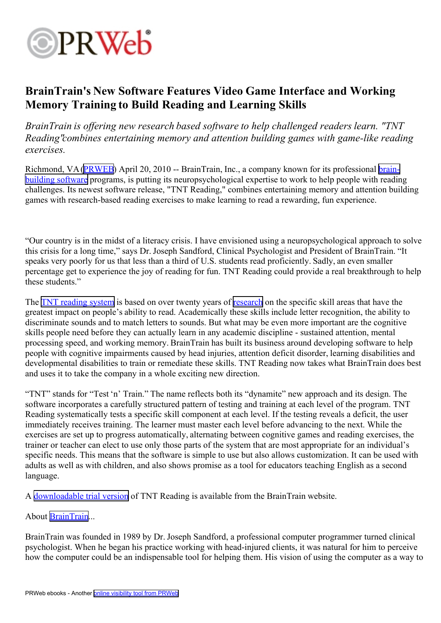

## **BrainTrain's New Software Features Video Game Interface and Working Memory Training to Build Reading and Learning Skills**

*BrainTrain is offering new research based software to help challenged readers learn. "TNT Reading"combines entertaining memory and attention building games with game-like reading exercises.*

Richmond, VA([PRWEB](http://www.prweb.com)) April 20, 2010 -- BrainTrain, Inc., a company known for its professional [brain](http://www.braintrain.com/professionals/captains_log/captainslog_pro.htm)[building](http://www.braintrain.com/professionals/captains_log/captainslog_pro.htm) software programs, is putting its neuropsychological expertise to work to help people with reading challenges. Its newest software release, "TNT Reading," combines entertaining memory and attention building games with research-based reading exercises to make learning to read <sup>a</sup> rewarding, fun experience.

"Our country is in the midst of <sup>a</sup> literacy crisis. I have envisioned using <sup>a</sup> neuropsychological approach to solve this crisis for <sup>a</sup> long time," says Dr. Joseph Sandford, Clinical Psychologist and President of BrainTrain. "It speaks very poorly for us that less than <sup>a</sup> third of U.S. students read proficiently. Sadly, an even smaller percentage ge<sup>t</sup> to experience the joy of reading for fun. TNT Reading could provide <sup>a</sup> real breakthrough to help these students."

The **TNT** [reading](http://www.braintrain.com/professionals/tnt_reading/tnt_reading_pro.htm) system is based on over twenty years of [research](http://www.braintrain.com/main/tnt_reading_research.htm) on the specific skill areas that have the greatest impact on people's ability to read. Academically these skills include letter recognition, the ability to discriminate sounds and to match letters to sounds. But what may be even more important are the cognitive skills people need before they can actually learn in any academic discipline - sustained attention, mental processing speed, and working memory. BrainTrain has built its business around developing software to help people with cognitive impairments caused by head injuries, attention deficit disorder, learning disabilities and developmental disabilities to train or remediate these skills. TNT Reading now takes what BrainTrain does best and uses it to take the company in <sup>a</sup> whole exciting new direction.

"TNT" stands for "Test 'n' Train." The name reflects both its "dynamite" new approach and its design. The software incorporates <sup>a</sup> carefully structured pattern of testing and training at each level of the program. TNT Reading systematically tests <sup>a</sup> specific skill componen<sup>t</sup> at each level. If the testing reveals <sup>a</sup> deficit, the user immediately receives training. The learner must master each level before advancing to the next. While the exercises are set up to progress automatically, alternating between cognitive games and reading exercises, the trainer or teacher can elect to use only those parts of the system that are most appropriate for an individual's specific needs. This means that the software is simple to use but also allows customization. It can be used with adults as well as with children, and also shows promise as <sup>a</sup> tool for educators teaching English as <sup>a</sup> second language.

A [downloadable](http://www.braintrain.com/professionals/tnt_reading/tnt_reading_download.htm) trial version of TNT Reading is available from the BrainTrain website.

## About [BrainTrain](http://www.braintrain.com/)...

BrainTrain was founded in 1989 by Dr. Joseph Sandford, <sup>a</sup> professional computer programmer turned clinical psychologist. When he began his practice working with head-injured clients, it was natural for him to perceive how the computer could be an indispensable tool for helping them. His vision of using the computer as <sup>a</sup> way to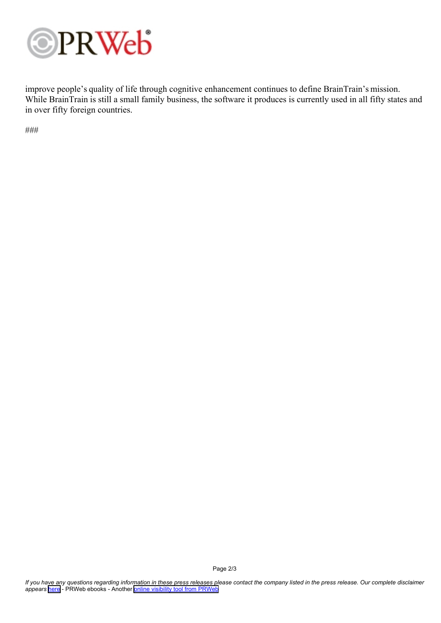

improve people's quality of life through cognitive enhancement continues to define BrainTrain's mission. While BrainTrain is still a small family business, the software it produces is currently used in all fifty states and in over fifty foreign countries.

###